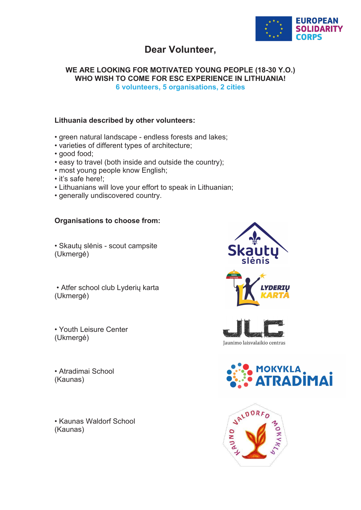

# **Dear Volunteer,**

# **WE ARE LOOKING FOR MOTIVATED YOUNG PEOPLE (18-30 Y.O.) WHO WISH TO COME FOR ESC EXPERIENCE IN LITHUANIA! 6 volunteers, 5 organisations, 2 cities**

# **Lithuania described by other volunteers:**

- green natural landscape endless forests and lakes;
- varieties of different types of architecture;
- good food;
- easy to travel (both inside and outside the country);
- most young people know English;
- it's safe here!;
- Lithuanians will love your effort to speak in Lithuanian;
- generally undiscovered country.

# **Organisations to choose from:**

• Skautų slėnis - scout campsite (Ukmergė)

• Atfer school club Lyderių karta (Ukmergė)

• Youth Leisure Center (Ukmergė)

• Atradimai School (Kaunas)

• Kaunas Waldorf School (Kaunas)



Jaunimo laisvalaikio centras



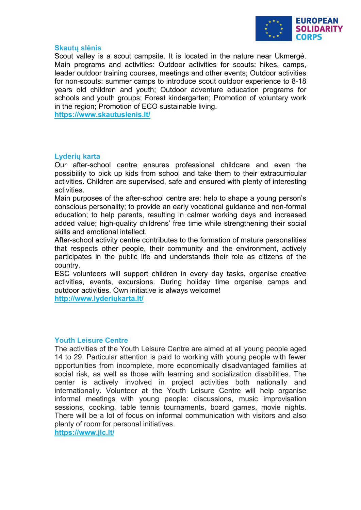

#### **Skautų slėnis**

Scout valley is a scout campsite. It is located in the nature near Ukmergė. Main programs and activities: Outdoor activities for scouts: hikes, camps, leader outdoor training courses, meetings and other events; Outdoor activities for non-scouts: summer camps to introduce scout outdoor experience to 8-18 years old children and youth; Outdoor adventure education programs for schools and youth groups; Forest kindergarten; Promotion of voluntary work in the region; Promotion of ECO sustainable living.

**<https://www.skautuslenis.lt/>**

# **Lyderių karta**

Our after-school centre ensures professional childcare and even the possibility to pick up kids from school and take them to their extracurricular activities. Children are supervised, safe and ensured with plenty of interesting activities.

Main purposes of the after-school centre are: help to shape a young person's conscious personality; to provide an early vocational guidance and non-formal education; to help parents, resulting in calmer working days and increased added value; high-quality childrens' free time while strengthening their social skills and emotional intellect.

After-school activity centre contributes to the formation of mature personalities that respects other people, their community and the environment, actively participates in the public life and understands their role as citizens of the country.

ESC volunteers will support children in every day tasks, organise creative activities, events, excursions. During holiday time organise camps and outdoor activities. Own initiative is always welcome! **<http://www.lyderiukarta.lt/>**

#### **Youth Leisure Centre**

The activities of the Youth Leisure Centre are aimed at all young people aged 14 to 29. Particular attention is paid to working with young people with fewer opportunities from incomplete, more economically disadvantaged families at social risk, as well as those with learning and socialization disabilities. The center is actively involved in project activities both nationally and internationally. Volunteer at the Youth Leisure Centre will help organise informal meetings with young people: discussions, music improvisation sessions, cooking, table tennis tournaments, board games, movie nights. There will be a lot of focus on informal communication with visitors and also plenty of room for personal initiatives.

**<https://www.jlc.lt/>**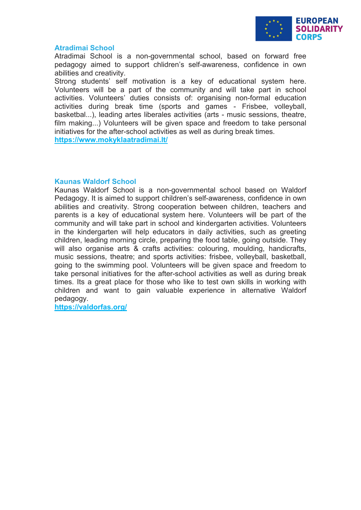

#### **Atradimai School**

Atradimai School is a non-governmental school, based on forward free pedagogy aimed to support chlidren's self-awareness, confidence in own abilities and creativity.

Strong students' self motivation is a key of educational system here. Volunteers will be a part of the community and will take part in school activities. Volunteers' duties consists of: organising non-formal education activities during break time (sports and games - Frisbee, volleyball, basketbal...), leading artes liberales activities (arts - music sessions, theatre, film making...) Volunteers will be given space and freedom to take personal initiatives for the after-school activities as well as during break times. **<https://www.mokyklaatradimai.lt/>**

# **Kaunas Waldorf School**

Kaunas Waldorf School is a non-governmental school based on Waldorf Pedagogy. It is aimed to support children's self-awareness, confidence in own abilities and creativity. Strong cooperation between children, teachers and parents is a key of educational system here. Volunteers will be part of the community and will take part in school and kindergarten activities. Volunteers in the kindergarten will help educators in daily activities, such as greeting children, leading morning circle, preparing the food table, going outside. They will also organise arts & crafts activities: colouring, moulding, handicrafts, music sessions, theatre; and sports activities: frisbee, volleyball, basketball, going to the swimming pool. Volunteers will be given space and freedom to take personal initiatives for the after-school activities as well as during break times. Its a great place for those who like to test own skills in working with children and want to gain valuable experience in alternative Waldorf pedagogy.

**<https://valdorfas.org/>**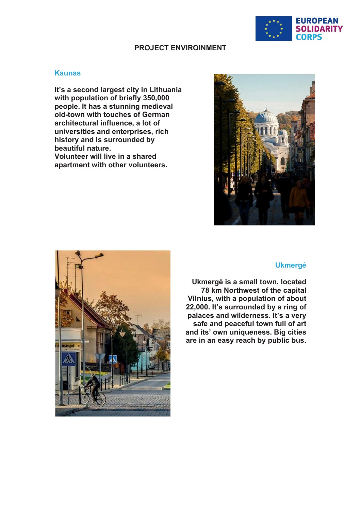

# **PROJECT ENVIROINMENT**

#### **Kaunas**

**It's a second largest city in Lithuania with population of briefly 350,000 people. It has a stunning medieval old-town with touches of German architectural influence, a lot of universities and enterprises, rich history and is surrounded by beautiful nature. Volunteer will live in a shared apartment with other volunteers.**





#### **Ukmergė**

**Ukmergė is a small town, located 78 km Northwest of the capital Vilnius, with a population of about 22,000. It's surrounded by a ring of palaces and wilderness. It's a very safe and peaceful town full of art and its' own uniqueness. Big cities are in an easy reach by public bus.**